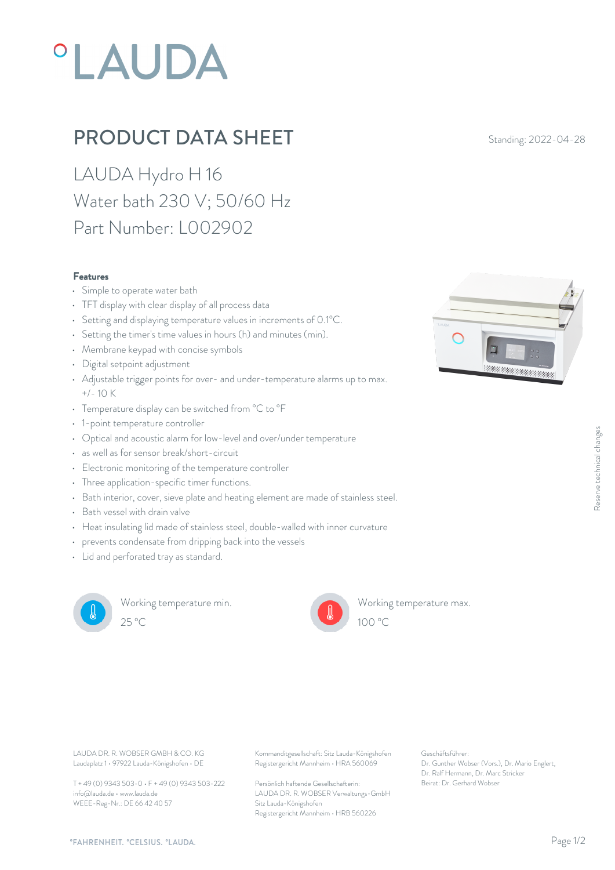# **°LAUDA**

# **PRODUCT DATA SHEET** Standing: 2022-04-28

LAUDA Hydro H 16 Water bath 230 V; 50/60 Hz Part Number: L002902

### Features

- Simple to operate water bath
- TFT display with clear display of all process data
- Setting and displaying temperature values in increments of 0.1°C.
- Setting the timer's time values in hours (h) and minutes (min).
- Membrane keypad with concise symbols
- Digital setpoint adjustment
- Adjustable trigger points for over- and under-temperature alarms up to max.  $+/- 10 K$
- Temperature display can be switched from °C to °F
- 1-point temperature controller
- Optical and acoustic alarm for low-level and over/under temperature
- as well as for sensor break/short-circuit
- Electronic monitoring of the temperature controller
- Three application-specific timer functions.
- Bath interior, cover, sieve plate and heating element are made of stainless steel.
- Bath vessel with drain valve
- Heat insulating lid made of stainless steel, double-walled with inner curvature
- prevents condensate from dripping back into the vessels
- Lid and perforated tray as standard.



Working temperature min.  $25^{\circ}$ C  $100^{\circ}$ C



Working temperature max.

Laudaplatz 1 • 97922 Lauda-Königshofen • DE

T + 49 (0) 9343 503-0 • F + 49 (0) 9343 503-222 info@lauda.de • www.lauda.de WEEE-Reg-Nr.: DE 66 42 40 57

LAUDA DR. R. WOBSER GMBH & CO. KG Kommanditgesellschaft: Sitz Lauda-Königshofen Geschäftsführer: Registergericht Mannheim • HRA 560069

> Persönlich haftende Gesellschafterin: Beirat: Dr. Gerhard Wobse LAUDA DR. R. WOBSER Verwaltungs-GmbH Sitz Lauda-Königshofen Registergericht Mannheim • HRB 560226

Geschäftsführer: Dr. Gunther Wobser (Vors.), Dr. Mario Englert, Dr. Ralf Hermann, Dr. Marc Stricker Beschäftsführer:<br>Beischäftsführer:<br>Dr. Gunther Wobser (Vors.), Dr. Mario Englert,<br>Dr. Ralf Hermann, Dr. Marc Stricker<br>Beirat: Dr. Gerhard Wobser